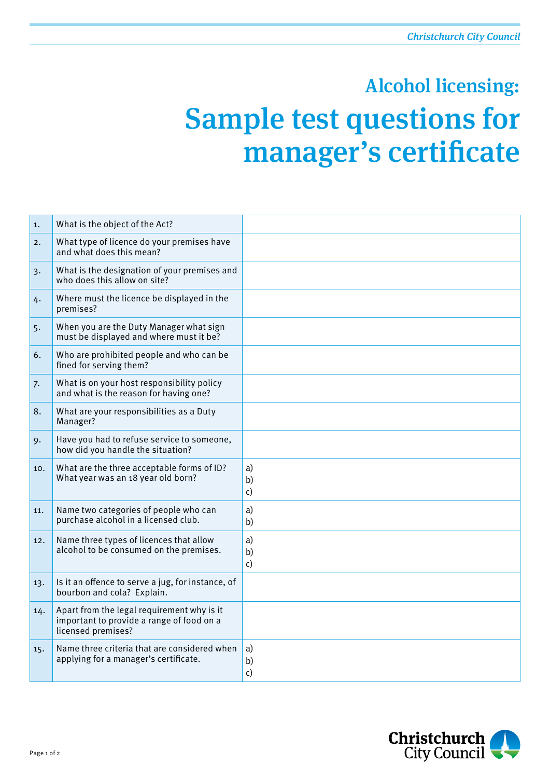## Sample test questions for manager's certificate Alcohol licensing:

| 1.  | What is the object of the Act?                                                                                |                |
|-----|---------------------------------------------------------------------------------------------------------------|----------------|
| 2.  | What type of licence do your premises have<br>and what does this mean?                                        |                |
| 3.  | What is the designation of your premises and<br>who does this allow on site?                                  |                |
| 4.  | Where must the licence be displayed in the<br>premises?                                                       |                |
| 5.  | When you are the Duty Manager what sign<br>must be displayed and where must it be?                            |                |
| 6.  | Who are prohibited people and who can be<br>fined for serving them?                                           |                |
| 7.  | What is on your host responsibility policy<br>and what is the reason for having one?                          |                |
| 8.  | What are your responsibilities as a Duty<br>Manager?                                                          |                |
| 9.  | Have you had to refuse service to someone,<br>how did you handle the situation?                               |                |
| 10. | What are the three acceptable forms of ID?<br>What year was an 18 year old born?                              | a)<br>b)<br>c) |
| 11. | Name two categories of people who can<br>purchase alcohol in a licensed club.                                 | a)<br>b)       |
| 12. | Name three types of licences that allow<br>alcohol to be consumed on the premises.                            | a)<br>b)<br>c) |
| 13. | Is it an offence to serve a jug, for instance, of<br>bourbon and cola? Explain.                               |                |
| 14. | Apart from the legal requirement why is it<br>important to provide a range of food on a<br>licensed premises? |                |
| 15. | Name three criteria that are considered when<br>applying for a manager's certificate.                         | a)<br>b)<br>c) |